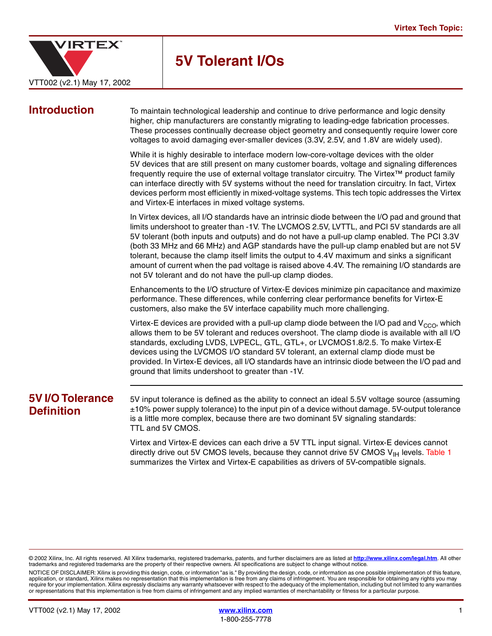

# **5V Tolerant I/Os**

**Introduction** To maintain technological leadership and continue to drive performance and logic density higher, chip manufacturers are constantly migrating to leading-edge fabrication processes. These processes continually decrease object geometry and consequently require lower core voltages to avoid damaging ever-smaller devices (3.3V, 2.5V, and 1.8V are widely used).

> While it is highly desirable to interface modern low-core-voltage devices with the older 5V devices that are still present on many customer boards, voltage and signaling differences frequently require the use of external voltage translator circuitry. The Virtex™ product family can interface directly with 5V systems without the need for translation circuitry. In fact, Virtex devices perform most efficiently in mixed-voltage systems. This tech topic addresses the Virtex and Virtex-E interfaces in mixed voltage systems.

> In Virtex devices, all I/O standards have an intrinsic diode between the I/O pad and ground that limits undershoot to greater than -1V. The LVCMOS 2.5V, LVTTL, and PCI 5V standards are all 5V tolerant (both inputs and outputs) and do not have a pull-up clamp enabled. The PCI 3.3V (both 33 MHz and 66 MHz) and AGP standards have the pull-up clamp enabled but are not 5V tolerant, because the clamp itself limits the output to 4.4V maximum and sinks a significant amount of current when the pad voltage is raised above 4.4V. The remaining I/O standards are not 5V tolerant and do not have the pull-up clamp diodes.

> Enhancements to the I/O structure of Virtex-E devices minimize pin capacitance and maximize performance. These differences, while conferring clear performance benefits for Virtex-E customers, also make the 5V interface capability much more challenging.

> Virtex-E devices are provided with a pull-up clamp diode between the I/O pad and  $V_{CCO}$ , which allows them to be 5V tolerant and reduces overshoot. The clamp diode is available with all I/O standards, excluding LVDS, LVPECL, GTL, GTL+, or LVCMOS1.8/2.5. To make Virtex-E devices using the LVCMOS I/O standard 5V tolerant, an external clamp diode must be provided. In Virtex-E devices, all I/O standards have an intrinsic diode between the I/O pad and ground that limits undershoot to greater than -1V.

# **5V I/O Tolerance Definition**

5V input tolerance is defined as the ability to connect an ideal 5.5V voltage source (assuming  $\pm$ 10% power supply tolerance) to the input pin of a device without damage. 5V-output tolerance is a little more complex, because there are two dominant 5V signaling standards: TTL and 5V CMOS.

Virtex and Virtex-E devices can each drive a 5V TTL input signal. Virtex-E devices cannot directly drive out 5V CMOS levels, because they cannot drive 5V CMOS  $V_{\text{IH}}$  levels. Table 1 summarizes the Virtex and Virtex-E capabilities as drivers of 5V-compatible signals.

NOTICE OF DISCLAIMER: Xilinx is providing this design, code, or information "as is." By providing the design, code, or information as one possible implementation of this feature, application, or standard, Xilinx makes no representation that this implementation is free from any claims of infringement. You are responsible for obtaining any rights you may require for your implementation. Xilinx expressly disclaims any warranty whatsoever with respect to the adequacy of the implementation, including but not limited to any warranties or representations that this implementation is free from claims of infringement and any implied warranties of merchantability or fitness for a particular purpose.

<sup>© 2002</sup> Xilinx, Inc. All rights reserved. All Xilinx trademarks, registered trademarks, patents, and further disclaimers are as listed at **<http://www.xilinx.com/legal.htm>**. All other trademarks and registered trademarks are the property of their respective owners. All specifications are subject to change without notice.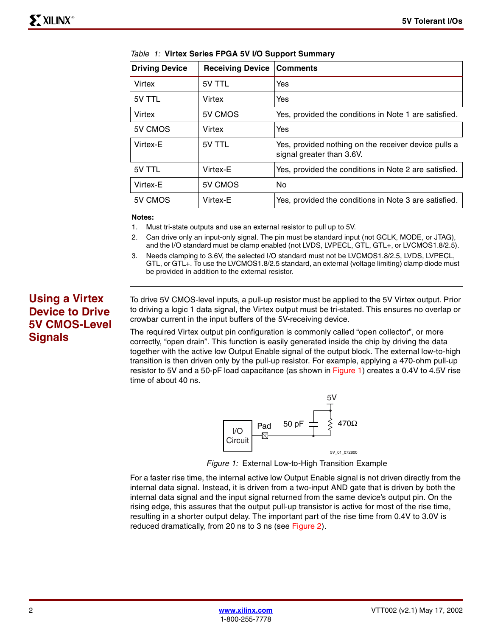| <b>Driving Device</b> | <b>Receiving Device</b> | <b>Comments</b>                                                                   |
|-----------------------|-------------------------|-----------------------------------------------------------------------------------|
| Virtex                | 5V TTL                  | Yes                                                                               |
| 5V TTL                | Virtex                  | Yes                                                                               |
| Virtex                | 5V CMOS                 | Yes, provided the conditions in Note 1 are satisfied.                             |
| 5V CMOS               | Virtex                  | Yes                                                                               |
| Virtex-E              | 5V TTL                  | Yes, provided nothing on the receiver device pulls a<br>signal greater than 3.6V. |
| 5V TTL                | Virtex-E                | Yes, provided the conditions in Note 2 are satisfied.                             |
| Virtex-E              | 5V CMOS                 | No.                                                                               |
| 5V CMOS               | Virtex-E                | Yes, provided the conditions in Note 3 are satisfied.                             |

|  |  | Table 1: Virtex Series FPGA 5V I/O Support Summary |  |  |  |
|--|--|----------------------------------------------------|--|--|--|
|--|--|----------------------------------------------------|--|--|--|

#### **Notes:**

- 1. Must tri-state outputs and use an external resistor to pull up to 5V.
- 2. Can drive only an input-only signal. The pin must be standard input (not GCLK, MODE, or JTAG), and the I/O standard must be clamp enabled (not LVDS, LVPECL, GTL, GTL+, or LVCMOS1.8/2.5).
- 3. Needs clamping to 3.6V, the selected I/O standard must not be LVCMOS1.8/2.5, LVDS, LVPECL, GTL, or GTL+. To use the LVCMOS1.8/2.5 standard, an external (voltage limiting) clamp diode must be provided in addition to the external resistor.

# **Using a Virtex Device to Drive 5V CMOS-Level Signals**

To drive 5V CMOS-level inputs, a pull-up resistor must be applied to the 5V Virtex output. Prior to driving a logic 1 data signal, the Virtex output must be tri-stated. This ensures no overlap or crowbar current in the input buffers of the 5V-receiving device.

The required Virtex output pin configuration is commonly called "open collector", or more correctly, "open drain". This function is easily generated inside the chip by driving the data together with the active low Output Enable signal of the output block. The external low-to-high transition is then driven only by the pull-up resistor. For example, applying a 470-ohm pull-up resistor to 5V and a 50-pF load capacitance (as shown in Figure 1) creates a 0.4V to 4.5V rise time of about 40 ns.



*Figure 1:* External Low-to-High Transition Example

For a faster rise time, the internal active low Output Enable signal is not driven directly from the internal data signal. Instead, it is driven from a two-input AND gate that is driven by both the internal data signal and the input signal returned from the same device's output pin. On the rising edge, this assures that the output pull-up transistor is active for most of the rise time, resulting in a shorter output delay. The important part of the rise time from 0.4V to 3.0V is reduced dramatically, from 20 ns to 3 ns (see Figure 2).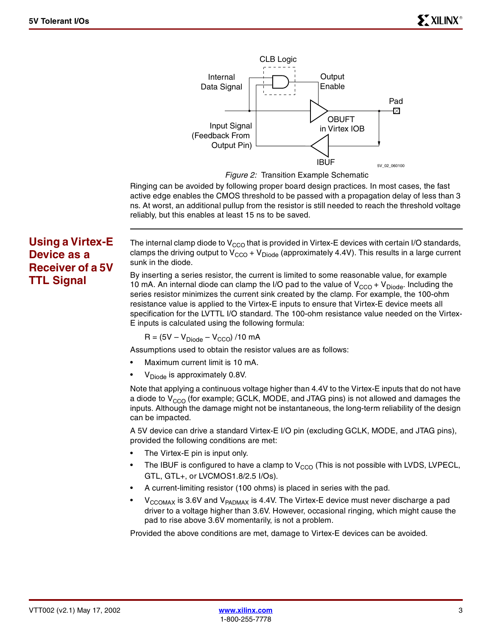

*Figure 2:* Transition Example Schematic

Ringing can be avoided by following proper board design practices. In most cases, the fast active edge enables the CMOS threshold to be passed with a propagation delay of less than 3 ns. At worst, an additional pullup from the resistor is still needed to reach the threshold voltage reliably, but this enables at least 15 ns to be saved.

# **Using a Virtex-E Device as a Receiver of a 5V TTL Signal**

The internal clamp diode to  $V_{CCO}$  that is provided in Virtex-E devices with certain I/O standards, clamps the driving output to  $V_{CCO} + V_{Diode}$  (approximately 4.4V). This results in a large current sunk in the diode.

By inserting a series resistor, the current is limited to some reasonable value, for example 10 mA. An internal diode can clamp the I/O pad to the value of  $V_{CCO} + V_{Diode}$ . Including the series resistor minimizes the current sink created by the clamp. For example, the 100-ohm resistance value is applied to the Virtex-E inputs to ensure that Virtex-E device meets all specification for the LVTTL I/O standard. The 100-ohm resistance value needed on the Virtex-E inputs is calculated using the following formula:

$$
R = (5V - V_{Diode} - V_{CCO}) / 10 \text{ mA}
$$

Assumptions used to obtain the resistor values are as follows:

- Maximum current limit is 10 mA.
- $V<sub>Diode</sub>$  is approximately 0.8V.

Note that applying a continuous voltage higher than 4.4V to the Virtex-E inputs that do not have a diode to  $V_{CCO}$  (for example; GCLK, MODE, and JTAG pins) is not allowed and damages the inputs. Although the damage might not be instantaneous, the long-term reliability of the design can be impacted.

A 5V device can drive a standard Virtex-E I/O pin (excluding GCLK, MODE, and JTAG pins), provided the following conditions are met:

- The Virtex-E pin is input only.
- The IBUF is configured to have a clamp to  $V_{CCO}$  (This is not possible with LVDS, LVPECL, GTL, GTL+, or LVCMOS1.8/2.5 I/Os).
- A current-limiting resistor (100 ohms) is placed in series with the pad.
- $V_{\text{CCOMAX}}$  is 3.6V and  $V_{\text{PADMAX}}$  is 4.4V. The Virtex-E device must never discharge a pad driver to a voltage higher than 3.6V. However, occasional ringing, which might cause the pad to rise above 3.6V momentarily, is not a problem.

Provided the above conditions are met, damage to Virtex-E devices can be avoided.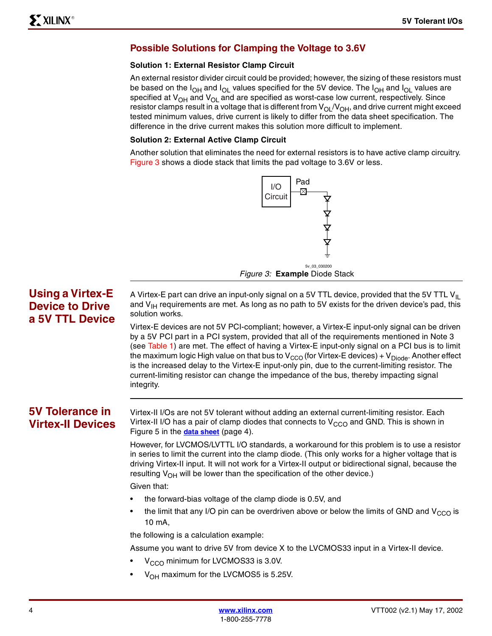### **Possible Solutions for Clamping the Voltage to 3.6V**

#### **Solution 1: External Resistor Clamp Circuit**

An external resistor divider circuit could be provided; however, the sizing of these resistors must be based on the  $I_{OH}$  and  $I_{OL}$  values specified for the 5V device. The  $I_{OH}$  and  $I_{OL}$  values are specified at  $V_{OH}$  and  $V_{OH}$  and are specified as worst-case low current, respectively. Since resistor clamps result in a voltage that is different from  $V_{\text{OL}}/V_{\text{OH}}$ , and drive current might exceed tested minimum values, drive current is likely to differ from the data sheet specification. The difference in the drive current makes this solution more difficult to implement.

#### **Solution 2: External Active Clamp Circuit**

Another solution that eliminates the need for external resistors is to have active clamp circuitry. Figure 3 shows a diode stack that limits the pad voltage to 3.6V or less.



# **Using a Virtex-E Device to Drive a 5V TTL Device**

A Virtex-E part can drive an input-only signal on a 5V TTL device, provided that the 5V TTL  $V_{\parallel}$ and  $V_{\text{IH}}$  requirements are met. As long as no path to 5V exists for the driven device's pad, this solution works.

Virtex-E devices are not 5V PCI-compliant; however, a Virtex-E input-only signal can be driven by a 5V PCI part in a PCI system, provided that all of the requirements mentioned in Note 3 (see Table 1) are met. The effect of having a Virtex-E input-only signal on a PCI bus is to limit the maximum logic High value on that bus to  $V_{CCO}$  (for Virtex-E devices) +  $V_{Diode}$ . Another effect is the increased delay to the Virtex-E input-only pin, due to the current-limiting resistor. The current-limiting resistor can change the impedance of the bus, thereby impacting signal integrity.

# <span id="page-3-0"></span>**5V Tolerance in Virtex-II Devices**

Virtex-II I/Os are not 5V tolerant without adding an external current-limiting resistor. Each Virtex-II I/O has a pair of clamp diodes that connects to  $V_{CCO}$  and GND. This is shown in Figure 5 in the **[data sheet](http://www.xilinx.com/xlnx/xweb/xil_publications_display.jsp?category
=/Data+Sheets/FPGA+Device+Families/Virtex-II&iLanguageID=1)** (page 4).

However, for LVCMOS/LVTTL I/O standards, a workaround for this problem is to use a resistor in series to limit the current into the clamp diode. (This only works for a higher voltage that is driving Virtex-II input. It will not work for a Virtex-II output or bidirectional signal, because the resulting  $V_{OH}$  will be lower than the specification of the other device.)

Given that:

- the forward-bias voltage of the clamp diode is 0.5V, and
- the limit that any I/O pin can be overdriven above or below the limits of GND and  $V_{CCO}$  is 10 mA,

the following is a calculation example:

Assume you want to drive 5V from device X to the LVCMOS33 input in a Virtex-II device.

- V<sub>CCO</sub> minimum for LVCMOS33 is 3.0V.
- $V_{OH}$  maximum for the LVCMOS5 is 5.25V.